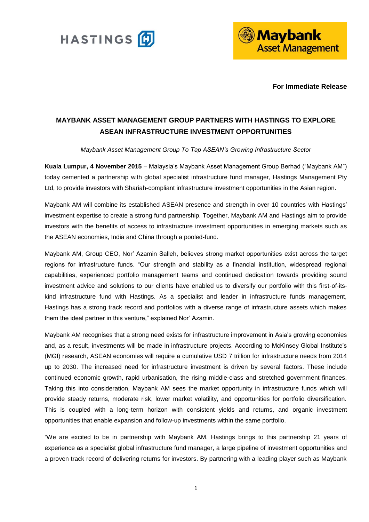



**For Immediate Release**

# **MAYBANK ASSET MANAGEMENT GROUP PARTNERS WITH HASTINGS TO EXPLORE ASEAN INFRASTRUCTURE INVESTMENT OPPORTUNITIES**

## *Maybank Asset Management Group To Tap ASEAN's Growing Infrastructure Sector*

**Kuala Lumpur, 4 November 2015** – Malaysia's Maybank Asset Management Group Berhad ("Maybank AM") today cemented a partnership with global specialist infrastructure fund manager, Hastings Management Pty Ltd, to provide investors with Shariah-compliant infrastructure investment opportunities in the Asian region.

Maybank AM will combine its established ASEAN presence and strength in over 10 countries with Hastings' investment expertise to create a strong fund partnership. Together, Maybank AM and Hastings aim to provide investors with the benefits of access to infrastructure investment opportunities in emerging markets such as the ASEAN economies, India and China through a pooled-fund.

Maybank AM, Group CEO, Nor' Azamin Salleh, believes strong market opportunities exist across the target regions for infrastructure funds. "Our strength and stability as a financial institution, widespread regional capabilities, experienced portfolio management teams and continued dedication towards providing sound investment advice and solutions to our clients have enabled us to diversify our portfolio with this first-of-itskind infrastructure fund with Hastings. As a specialist and leader in infrastructure funds management, Hastings has a strong track record and portfolios with a diverse range of infrastructure assets which makes them the ideal partner in this venture," explained Nor' Azamin.

Maybank AM recognises that a strong need exists for infrastructure improvement in Asia's growing economies and, as a result, investments will be made in infrastructure projects. According to McKinsey Global Institute's (MGI) research, ASEAN economies will require a cumulative USD 7 trillion for infrastructure needs from 2014 up to 2030. The increased need for infrastructure investment is driven by several factors. These include continued economic growth, rapid urbanisation, the rising middle-class and stretched government finances. Taking this into consideration, Maybank AM sees the market opportunity in infrastructure funds which will provide steady returns, moderate risk, lower market volatility, and opportunities for portfolio diversification. This is coupled with a long-term horizon with consistent yields and returns, and organic investment opportunities that enable expansion and follow-up investments within the same portfolio.

*"*We are excited to be in partnership with Maybank AM. Hastings brings to this partnership 21 years of experience as a specialist global infrastructure fund manager, a large pipeline of investment opportunities and a proven track record of delivering returns for investors. By partnering with a leading player such as Maybank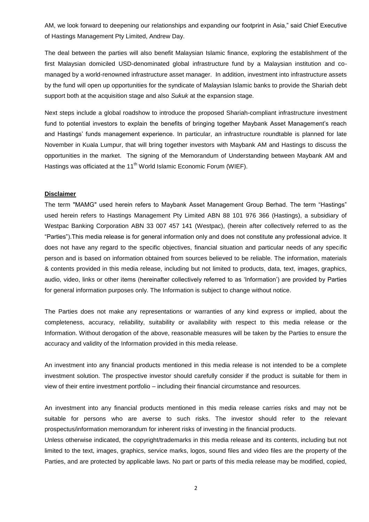AM, we look forward to deepening our relationships and expanding our footprint in Asia," said Chief Executive of Hastings Management Pty Limited, Andrew Day.

The deal between the parties will also benefit Malaysian Islamic finance, exploring the establishment of the first Malaysian domiciled USD-denominated global infrastructure fund by a Malaysian institution and comanaged by a world-renowned infrastructure asset manager. In addition, investment into infrastructure assets by the fund will open up opportunities for the syndicate of Malaysian Islamic banks to provide the Shariah debt support both at the acquisition stage and also *Sukuk* at the expansion stage.

Next steps include a global roadshow to introduce the proposed Shariah-compliant infrastructure investment fund to potential investors to explain the benefits of bringing together Maybank Asset Management's reach and Hastings' funds management experience. In particular, an infrastructure roundtable is planned for late November in Kuala Lumpur, that will bring together investors with Maybank AM and Hastings to discuss the opportunities in the market. The signing of the Memorandum of Understanding between Maybank AM and Hastings was officiated at the 11<sup>th</sup> World Islamic Economic Forum (WIEF).

## **Disclaimer**

The term "MAMG" used herein refers to Maybank Asset Management Group Berhad. The term "Hastings" used herein refers to Hastings Management Pty Limited ABN 88 101 976 366 (Hastings), a subsidiary of Westpac Banking Corporation ABN 33 007 457 141 (Westpac), (herein after collectively referred to as the "Parties").This media release is for general information only and does not constitute any professional advice. It does not have any regard to the specific objectives, financial situation and particular needs of any specific person and is based on information obtained from sources believed to be reliable. The information, materials & contents provided in this media release, including but not limited to products, data, text, images, graphics, audio, video, links or other items (hereinafter collectively referred to as 'Information') are provided by Parties for general information purposes only. The Information is subject to change without notice.

The Parties does not make any representations or warranties of any kind express or implied, about the completeness, accuracy, reliability, suitability or availability with respect to this media release or the Information. Without derogation of the above, reasonable measures will be taken by the Parties to ensure the accuracy and validity of the Information provided in this media release.

An investment into any financial products mentioned in this media release is not intended to be a complete investment solution. The prospective investor should carefully consider if the product is suitable for them in view of their entire investment portfolio – including their financial circumstance and resources.

An investment into any financial products mentioned in this media release carries risks and may not be suitable for persons who are averse to such risks. The investor should refer to the relevant prospectus/information memorandum for inherent risks of investing in the financial products.

Unless otherwise indicated, the copyright/trademarks in this media release and its contents, including but not limited to the text, images, graphics, service marks, logos, sound files and video files are the property of the Parties, and are protected by applicable laws. No part or parts of this media release may be modified, copied,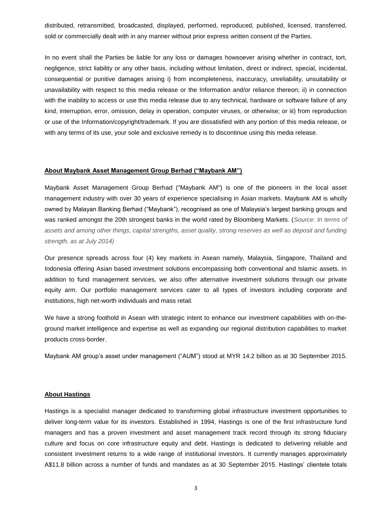distributed, retransmitted, broadcasted, displayed, performed, reproduced, published, licensed, transferred, sold or commercially dealt with in any manner without prior express written consent of the Parties.

In no event shall the Parties be liable for any loss or damages howsoever arising whether in contract, tort, negligence, strict liability or any other basis, including without limitation, direct or indirect, special, incidental, consequential or punitive damages arising i) from incompleteness, inaccuracy, unreliability, unsuitability or unavailability with respect to this media release or the Information and/or reliance thereon; ii) in connection with the inability to access or use this media release due to any technical, hardware or software failure of any kind, interruption, error, omission, delay in operation, computer viruses, or otherwise; or iii) from reproduction or use of the Information/copyright/trademark. If you are dissatisfied with any portion of this media release, or with any terms of its use, your sole and exclusive remedy is to discontinue using this media release.

#### **About Maybank Asset Management Group Berhad ("Maybank AM")**

Maybank Asset Management Group Berhad ("Maybank AM") is one of the pioneers in the local asset management industry with over 30 years of experience specialising in Asian markets. Maybank AM is wholly owned by Malayan Banking Berhad ("Maybank"), recognised as one of Malaysia's largest banking groups and was ranked amongst the 20th strongest banks in the world rated by Bloomberg Markets. (*Source: In terms of assets and among other things, capital strengths, asset quality, strong reserves as well as deposit and funding strength, as at July 2014)*

Our presence spreads across four (4) key markets in Asean namely, Malaysia, Singapore, Thailand and Indonesia offering Asian based investment solutions encompassing both conventional and Islamic assets. In addition to fund management services, we also offer alternative investment solutions through our private equity arm. Our portfolio management services cater to all types of investors including corporate and institutions, high net-worth individuals and mass retail.

We have a strong foothold in Asean with strategic intent to enhance our investment capabilities with on-theground market intelligence and expertise as well as expanding our regional distribution capabilities to market products cross-border.

Maybank AM group's asset under management ("AUM") stood at MYR 14.2 billion as at 30 September 2015.

## **About Hastings**

Hastings is a specialist manager dedicated to transforming global infrastructure investment opportunities to deliver long-term value for its investors. Established in 1994, Hastings is one of the first infrastructure fund managers and has a proven investment and asset management track record through its strong fiduciary culture and focus on core infrastructure equity and debt. Hastings is dedicated to delivering reliable and consistent investment returns to a wide range of institutional investors. It currently manages approximately A\$11.8 billion across a number of funds and mandates as at 30 September 2015. Hastings' clientele totals